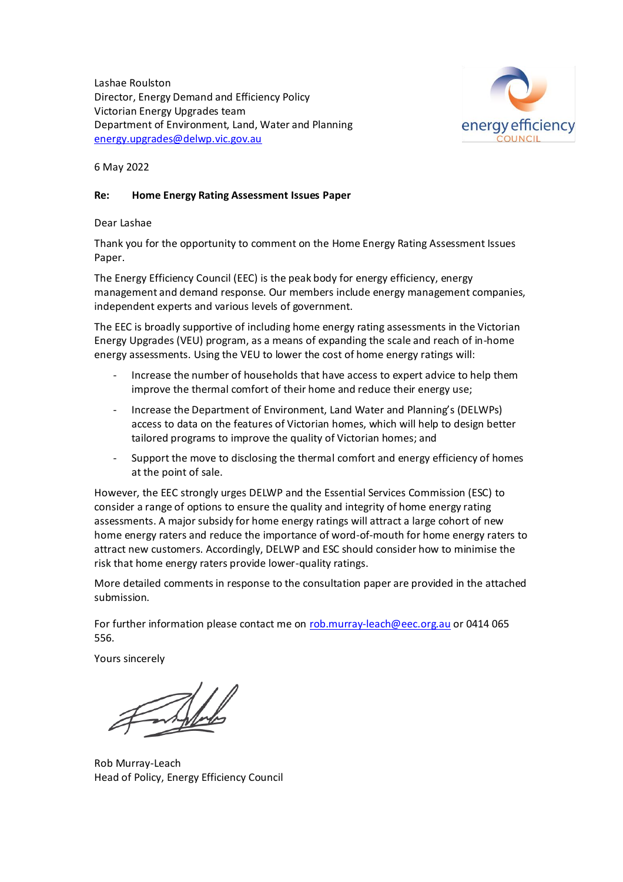Lashae Roulston Director, Energy Demand and Efficiency Policy Victorian Energy Upgrades team Department of Environment, Land, Water and Planning [energy.upgrades@delwp.vic.gov.au](mailto:energy.upgrades@delwp.vic.gov.au)



6 May 2022

## **Re: Home Energy Rating Assessment Issues Paper**

Dear Lashae

Thank you for the opportunity to comment on the Home Energy Rating Assessment Issues Paper.

The Energy Efficiency Council (EEC) is the peak body for energy efficiency, energy management and demand response. Our members include energy management companies, independent experts and various levels of government.

The EEC is broadly supportive of including home energy rating assessments in the Victorian Energy Upgrades (VEU) program, as a means of expanding the scale and reach of in-home energy assessments. Using the VEU to lower the cost of home energy ratings will:

- Increase the number of households that have access to expert advice to help them improve the thermal comfort of their home and reduce their energy use;
- Increase the Department of Environment, Land Water and Planning's (DELWPs) access to data on the features of Victorian homes, which will help to design better tailored programs to improve the quality of Victorian homes; and
- Support the move to disclosing the thermal comfort and energy efficiency of homes at the point of sale.

However, the EEC strongly urges DELWP and the Essential Services Commission (ESC) to consider a range of options to ensure the quality and integrity of home energy rating assessments. A major subsidy for home energy ratings will attract a large cohort of new home energy raters and reduce the importance of word-of-mouth for home energy raters to attract new customers. Accordingly, DELWP and ESC should consider how to minimise the risk that home energy raters provide lower-quality ratings.

More detailed comments in response to the consultation paper are provided in the attached submission.

For further information please contact me on [rob.murray-leach@eec.org.au](mailto:rob.murray-leach@eec.org.au) or 0414 065 556.

Yours sincerely

Rob Murray-Leach Head of Policy, Energy Efficiency Council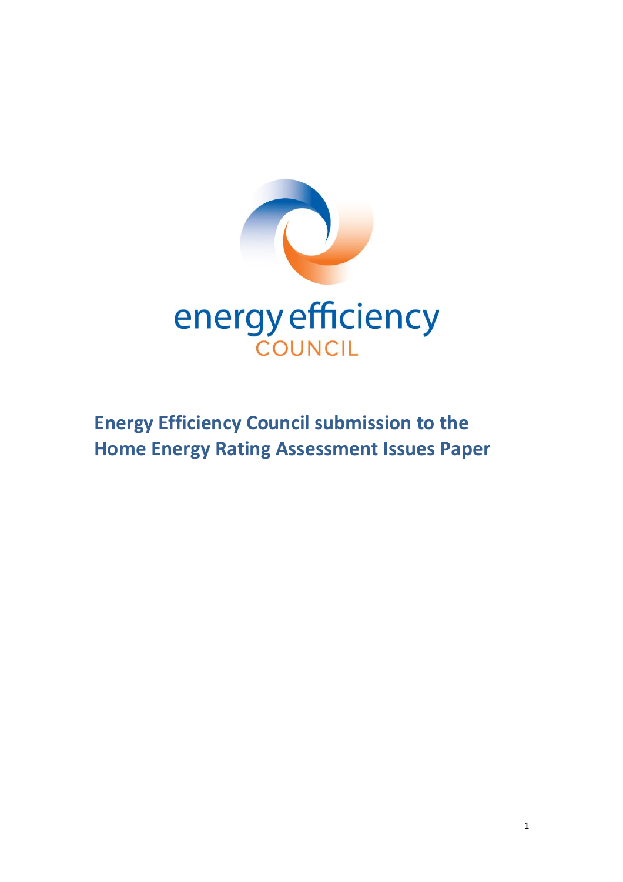

# **Energy Efficiency Council submission to the Home Energy Rating Assessment Issues Paper**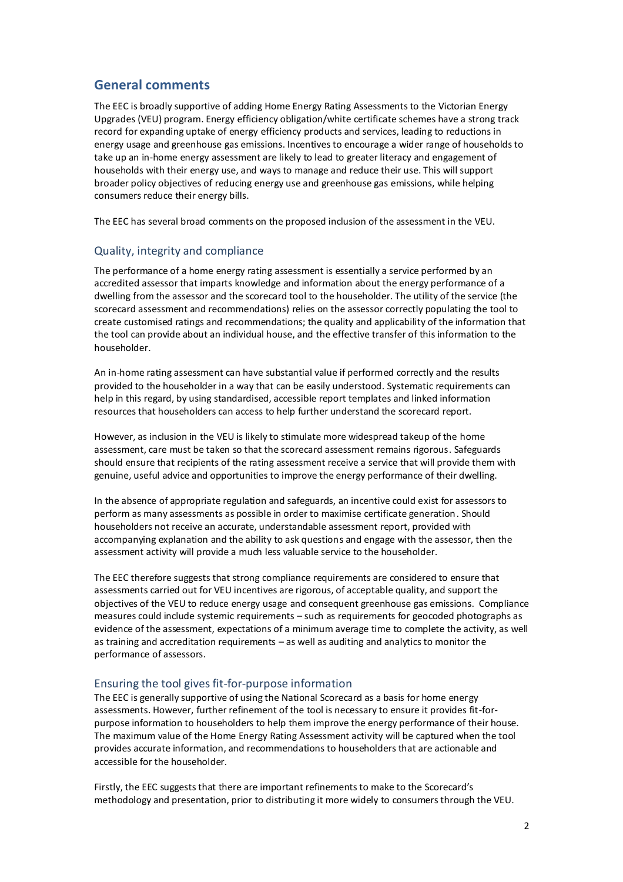## **General comments**

The EEC is broadly supportive of adding Home Energy Rating Assessments to the Victorian Energy Upgrades (VEU) program. Energy efficiency obligation/white certificate schemes have a strong track record for expanding uptake of energy efficiency products and services, leading to reductions in energy usage and greenhouse gas emissions. Incentives to encourage a wider range of households to take up an in-home energy assessment are likely to lead to greater literacy and engagement of households with their energy use, and ways to manage and reduce their use. This will support broader policy objectives of reducing energy use and greenhouse gas emissions, while helping consumers reduce their energy bills.

The EEC has several broad comments on the proposed inclusion of the assessment in the VEU.

## Quality, integrity and compliance

The performance of a home energy rating assessment is essentially a service performed by an accredited assessor that imparts knowledge and information about the energy performance of a dwelling from the assessor and the scorecard tool to the householder. The utility of the service (the scorecard assessment and recommendations) relies on the assessor correctly populating the tool to create customised ratings and recommendations; the quality and applicability of the information that the tool can provide about an individual house, and the effective transfer of this information to the householder.

An in-home rating assessment can have substantial value if performed correctly and the results provided to the householder in a way that can be easily understood. Systematic requirements can help in this regard, by using standardised, accessible report templates and linked information resources that householders can access to help further understand the scorecard report.

However, as inclusion in the VEU is likely to stimulate more widespread takeup of the home assessment, care must be taken so that the scorecard assessment remains rigorous. Safeguards should ensure that recipients of the rating assessment receive a service that will provide them with genuine, useful advice and opportunities to improve the energy performance of their dwelling.

In the absence of appropriate regulation and safeguards, an incentive could exist for assessors to perform as many assessments as possible in order to maximise certificate generation. Should householders not receive an accurate, understandable assessment report, provided with accompanying explanation and the ability to ask questions and engage with the assessor, then the assessment activity will provide a much less valuable service to the householder.

The EEC therefore suggests that strong compliance requirements are considered to ensure that assessments carried out for VEU incentives are rigorous, of acceptable quality, and support the objectives of the VEU to reduce energy usage and consequent greenhouse gas emissions. Compliance measures could include systemic requirements – such as requirements for geocoded photographs as evidence of the assessment, expectations of a minimum average time to complete the activity, as well as training and accreditation requirements – as well as auditing and analytics to monitor the performance of assessors.

## Ensuring the tool gives fit-for-purpose information

The EEC is generally supportive of using the National Scorecard as a basis for home energy assessments. However, further refinement of the tool is necessary to ensure it provides fit-forpurpose information to householders to help them improve the energy performance of their house. The maximum value of the Home Energy Rating Assessment activity will be captured when the tool provides accurate information, and recommendations to householders that are actionable and accessible for the householder.

Firstly, the EEC suggests that there are important refinements to make to the Scorecard's methodology and presentation, prior to distributing it more widely to consumers through the VEU.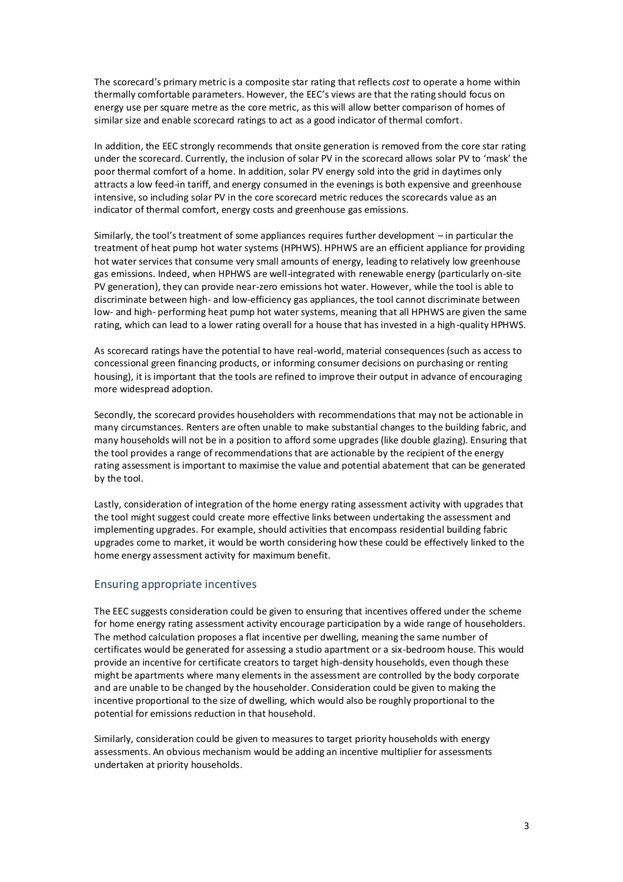The scorecard's primary metric is a composite star rating that reflects *cost* to operate a home within thermally comfortable parameters. However, the EEC's views are that the rating should focus on energy use per square metre as the core metric, as this will allow better comparison of homes of similar size and enable scorecard ratings to act as a good indicator of thermal comfort.

In addition, the EEC strongly recommends that onsite generation is removed from the core star rating under the scorecard. Currently, the inclusion of solar PV in the scorecard allows solar PV to 'mask' the poor thermal comfort of a home. In addition, solar PV energy sold into the grid in daytimes only attracts a low feed-in tariff, and energy consumed in the evenings is both expensive and greenhouse intensive, so including solar PV in the core scorecard metric reduces the scorecards value as an indicator of thermal comfort, energy costs and greenhouse gas emissions.

Similarly, the tool's treatment of some appliances requires further development – in particular the treatment of heat pump hot water systems (HPHWS). HPHWS are an efficient appliance for providing hot water services that consume very small amounts of energy, leading to relatively low greenhouse gas emissions. Indeed, when HPHWS are well-integrated with renewable energy (particularly on-site PV generation), they can provide near-zero emissions hot water. However, while the tool is able to discriminate between high- and low-efficiency gas appliances, the tool cannot discriminate between low- and high- performing heat pump hot water systems, meaning that all HPHWS are given the same rating, which can lead to a lower rating overall for a house that has invested in a high-quality HPHWS.

As scorecard ratings have the potential to have real-world, material consequences (such as access to concessional green financing products, or informing consumer decisions on purchasing or renting housing), it is important that the tools are refined to improve their output in advance of encouraging more widespread adoption.

Secondly, the scorecard provides householders with recommendations that may not be actionable in many circumstances. Renters are often unable to make substantial changes to the building fabric, and many households will not be in a position to afford some upgrades (like double glazing). Ensuring that the tool provides a range of recommendations that are actionable by the recipient of the energy rating assessment is important to maximise the value and potential abatement that can be generated by the tool.

Lastly, consideration of integration of the home energy rating assessment activity with upgrades that the tool might suggest could create more effective links between undertaking the assessment and implementing upgrades. For example, should activities that encompass residential building fabric upgrades come to market, it would be worth considering how these could be effectively linked to the home energy assessment activity for maximum benefit.

#### Ensuring appropriate incentives

The EEC suggests consideration could be given to ensuring that incentives offered under the scheme for home energy rating assessment activity encourage participation by a wide range of householders. The method calculation proposes a flat incentive per dwelling, meaning the same number of certificates would be generated for assessing a studio apartment or a six-bedroom house. This would provide an incentive for certificate creators to target high-density households, even though these might be apartments where many elements in the assessment are controlled by the body corporate and are unable to be changed by the householder. Consideration could be given to making the incentive proportional to the size of dwelling, which would also be roughly proportional to the potential for emissions reduction in that household.

Similarly, consideration could be given to measures to target priority households with energy assessments. An obvious mechanism would be adding an incentive multiplier for assessments undertaken at priority households.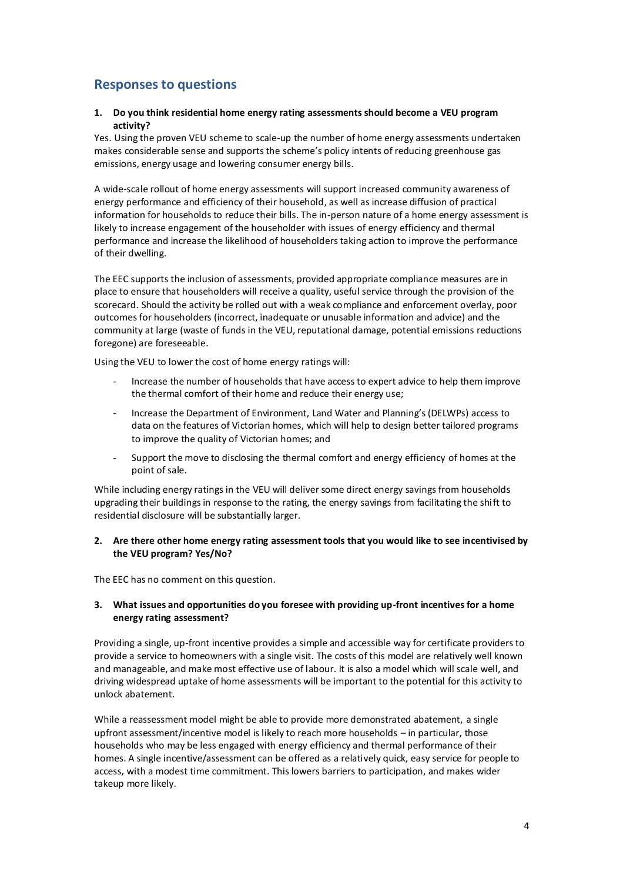# **Responses to questions**

#### **1. Do you think residential home energy rating assessments should become a VEU program activity?**

Yes. Using the proven VEU scheme to scale-up the number of home energy assessments undertaken makes considerable sense and supports the scheme's policy intents of reducing greenhouse gas emissions, energy usage and lowering consumer energy bills.

A wide-scale rollout of home energy assessments will support increased community awareness of energy performance and efficiency of their household, as well as increase diffusion of practical information for households to reduce their bills. The in-person nature of a home energy assessment is likely to increase engagement of the householder with issues of energy efficiency and thermal performance and increase the likelihood of householders taking action to improve the performance of their dwelling.

The EEC supports the inclusion of assessments, provided appropriate compliance measures are in place to ensure that householders will receive a quality, useful service through the provision of the scorecard. Should the activity be rolled out with a weak compliance and enforcement overlay, poor outcomes for householders (incorrect, inadequate or unusable information and advice) and the community at large (waste of funds in the VEU, reputational damage, potential emissions reductions foregone) are foreseeable.

Using the VEU to lower the cost of home energy ratings will:

- Increase the number of households that have access to expert advice to help them improve the thermal comfort of their home and reduce their energy use;
- Increase the Department of Environment, Land Water and Planning's (DELWPs) access to data on the features of Victorian homes, which will help to design better tailored programs to improve the quality of Victorian homes; and
- Support the move to disclosing the thermal comfort and energy efficiency of homes at the point of sale.

While including energy ratings in the VEU will deliver some direct energy savings from households upgrading their buildings in response to the rating, the energy savings from facilitating the shift to residential disclosure will be substantially larger.

#### **2. Are there other home energy rating assessment tools that you would like to see incentivised by the VEU program? Yes/No?**

The EEC has no comment on this question.

#### **3. What issues and opportunities do you foresee with providing up-front incentives for a home energy rating assessment?**

Providing a single, up-front incentive provides a simple and accessible way for certificate providers to provide a service to homeowners with a single visit. The costs of this model are relatively well known and manageable, and make most effective use of labour. It is also a model which will scale well, and driving widespread uptake of home assessments will be important to the potential for this activity to unlock abatement.

While a reassessment model might be able to provide more demonstrated abatement, a single upfront assessment/incentive model is likely to reach more households – in particular, those households who may be less engaged with energy efficiency and thermal performance of their homes. A single incentive/assessment can be offered as a relatively quick, easy service for people to access, with a modest time commitment. This lowers barriers to participation, and makes wider takeup more likely.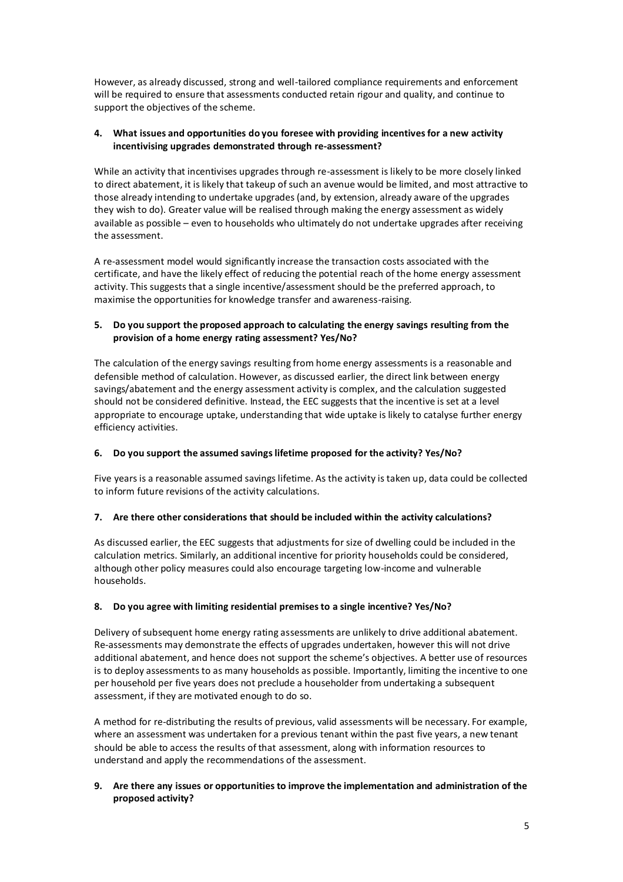However, as already discussed, strong and well-tailored compliance requirements and enforcement will be required to ensure that assessments conducted retain rigour and quality, and continue to support the objectives of the scheme.

#### **4. What issues and opportunities do you foresee with providing incentives for a new activity incentivising upgrades demonstrated through re-assessment?**

While an activity that incentivises upgrades through re-assessment is likely to be more closely linked to direct abatement, it is likely that takeup of such an avenue would be limited, and most attractive to those already intending to undertake upgrades (and, by extension, already aware of the upgrades they wish to do). Greater value will be realised through making the energy assessment as widely available as possible – even to households who ultimately do not undertake upgrades after receiving the assessment.

A re-assessment model would significantly increase the transaction costs associated with the certificate, and have the likely effect of reducing the potential reach of the home energy assessment activity. This suggests that a single incentive/assessment should be the preferred approach, to maximise the opportunities for knowledge transfer and awareness-raising.

### **5. Do you support the proposed approach to calculating the energy savings resulting from the provision of a home energy rating assessment? Yes/No?**

The calculation of the energy savings resulting from home energy assessments is a reasonable and defensible method of calculation. However, as discussed earlier, the direct link between energy savings/abatement and the energy assessment activity is complex, and the calculation suggested should not be considered definitive. Instead, the EEC suggests that the incentive is set at a level appropriate to encourage uptake, understanding that wide uptake is likely to catalyse further energy efficiency activities.

## **6. Do you support the assumed savings lifetime proposed for the activity? Yes/No?**

Five years is a reasonable assumed savings lifetime. As the activity is taken up, data could be collected to inform future revisions of the activity calculations.

## **7. Are there other considerations that should be included within the activity calculations?**

As discussed earlier, the EEC suggests that adjustments for size of dwelling could be included in the calculation metrics. Similarly, an additional incentive for priority households could be considered, although other policy measures could also encourage targeting low-income and vulnerable households.

#### **8. Do you agree with limiting residential premises to a single incentive? Yes/No?**

Delivery of subsequent home energy rating assessments are unlikely to drive additional abatement. Re-assessments may demonstrate the effects of upgrades undertaken, however this will not drive additional abatement, and hence does not support the scheme's objectives. A better use of resources is to deploy assessments to as many households as possible. Importantly, limiting the incentive to one per household per five years does not preclude a householder from undertaking a subsequent assessment, if they are motivated enough to do so.

A method for re-distributing the results of previous, valid assessments will be necessary. For example, where an assessment was undertaken for a previous tenant within the past five years, a new tenant should be able to access the results of that assessment, along with information resources to understand and apply the recommendations of the assessment.

#### **9. Are there any issues or opportunities to improve the implementation and administration of the proposed activity?**